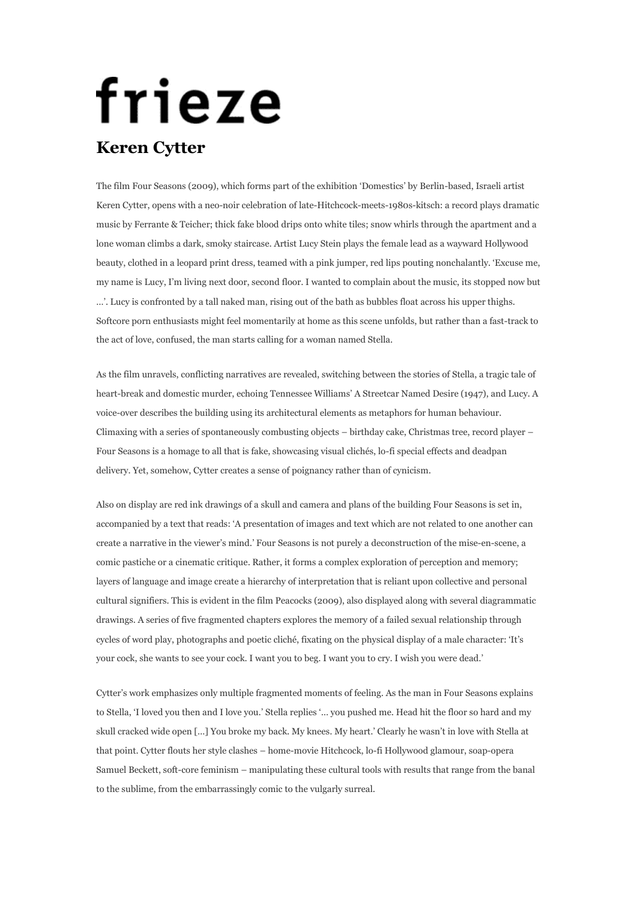## frieze **Keren Cytter**

The film Four Seasons (2009), which forms part of the exhibition 'Domestics' by Berlin-based, Israeli artist Keren Cytter, opens with a neo-noir celebration of late-Hitchcock-meets-1980s-kitsch: a record plays dramatic music by Ferrante & Teicher; thick fake blood drips onto white tiles; snow whirls through the apartment and a lone woman climbs a dark, smoky staircase. Artist Lucy Stein plays the female lead as a wayward Hollywood beauty, clothed in a leopard print dress, teamed with a pink jumper, red lips pouting nonchalantly. 'Excuse me, my name is Lucy, I'm living next door, second floor. I wanted to complain about the music, its stopped now but …'. Lucy is confronted by a tall naked man, rising out of the bath as bubbles float across his upper thighs. Softcore porn enthusiasts might feel momentarily at home as this scene unfolds, but rather than a fast-track to the act of love, confused, the man starts calling for a woman named Stella.

As the film unravels, conflicting narratives are revealed, switching between the stories of Stella, a tragic tale of heart-break and domestic murder, echoing Tennessee Williams' A Streetcar Named Desire (1947), and Lucy. A voice-over describes the building using its architectural elements as metaphors for human behaviour. Climaxing with a series of spontaneously combusting objects – birthday cake, Christmas tree, record player – Four Seasons is a homage to all that is fake, showcasing visual clichés, lo-fi special effects and deadpan delivery. Yet, somehow, Cytter creates a sense of poignancy rather than of cynicism.

Also on display are red ink drawings of a skull and camera and plans of the building Four Seasons is set in, accompanied by a text that reads: 'A presentation of images and text which are not related to one another can create a narrative in the viewer's mind.' Four Seasons is not purely a deconstruction of the mise-en-scene, a comic pastiche or a cinematic critique. Rather, it forms a complex exploration of perception and memory; layers of language and image create a hierarchy of interpretation that is reliant upon collective and personal cultural signifiers. This is evident in the film Peacocks (2009), also displayed along with several diagrammatic drawings. A series of five fragmented chapters explores the memory of a failed sexual relationship through cycles of word play, photographs and poetic cliché, fixating on the physical display of a male character: 'It's your cock, she wants to see your cock. I want you to beg. I want you to cry. I wish you were dead.'

Cytter's work emphasizes only multiple fragmented moments of feeling. As the man in Four Seasons explains to Stella, 'I loved you then and I love you.' Stella replies '… you pushed me. Head hit the floor so hard and my skull cracked wide open […] You broke my back. My knees. My heart.' Clearly he wasn't in love with Stella at that point. Cytter flouts her style clashes – home-movie Hitchcock, lo-fi Hollywood glamour, soap-opera Samuel Beckett, soft-core feminism – manipulating these cultural tools with results that range from the banal to the sublime, from the embarrassingly comic to the vulgarly surreal.